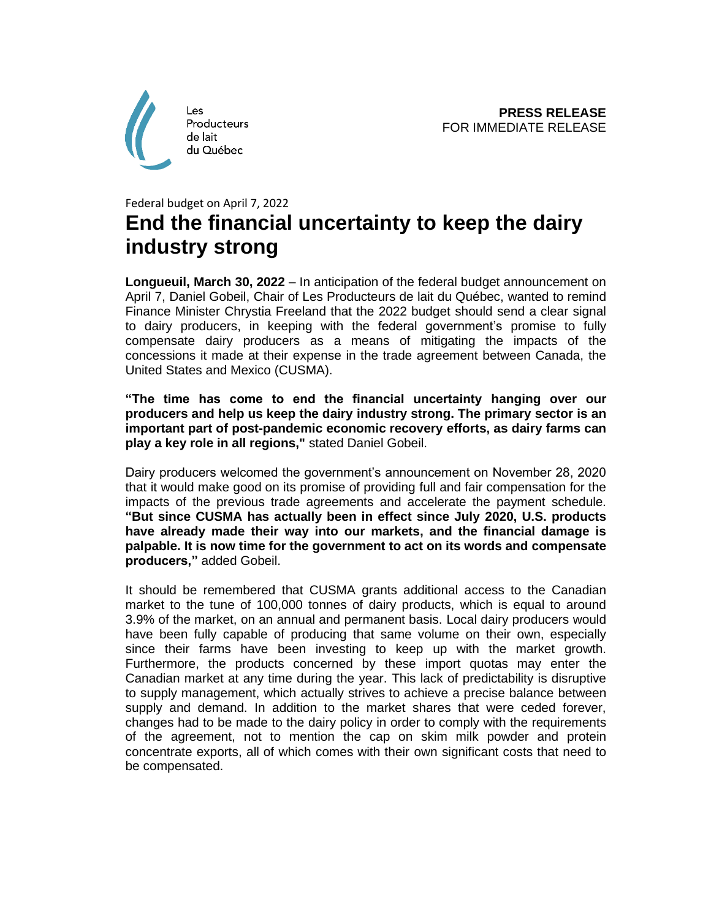

## Federal budget on April 7, 2022 **End the financial uncertainty to keep the dairy industry strong**

**Longueuil, March 30, 2022** – In anticipation of the federal budget announcement on April 7, Daniel Gobeil, Chair of Les Producteurs de lait du Québec, wanted to remind Finance Minister Chrystia Freeland that the 2022 budget should send a clear signal to dairy producers, in keeping with the federal government's promise to fully compensate dairy producers as a means of mitigating the impacts of the concessions it made at their expense in the trade agreement between Canada, the United States and Mexico (CUSMA).

**"The time has come to end the financial uncertainty hanging over our producers and help us keep the dairy industry strong. The primary sector is an important part of post-pandemic economic recovery efforts, as dairy farms can play a key role in all regions,"** stated Daniel Gobeil.

Dairy producers welcomed the government's announcement on November 28, 2020 that it would make good on its promise of providing full and fair compensation for the impacts of the previous trade agreements and accelerate the payment schedule. **"But since CUSMA has actually been in effect since July 2020, U.S. products have already made their way into our markets, and the financial damage is palpable. It is now time for the government to act on its words and compensate producers,"** added Gobeil.

It should be remembered that CUSMA grants additional access to the Canadian market to the tune of 100,000 tonnes of dairy products, which is equal to around 3.9% of the market, on an annual and permanent basis. Local dairy producers would have been fully capable of producing that same volume on their own, especially since their farms have been investing to keep up with the market growth. Furthermore, the products concerned by these import quotas may enter the Canadian market at any time during the year. This lack of predictability is disruptive to supply management, which actually strives to achieve a precise balance between supply and demand. In addition to the market shares that were ceded forever, changes had to be made to the dairy policy in order to comply with the requirements of the agreement, not to mention the cap on skim milk powder and protein concentrate exports, all of which comes with their own significant costs that need to be compensated.